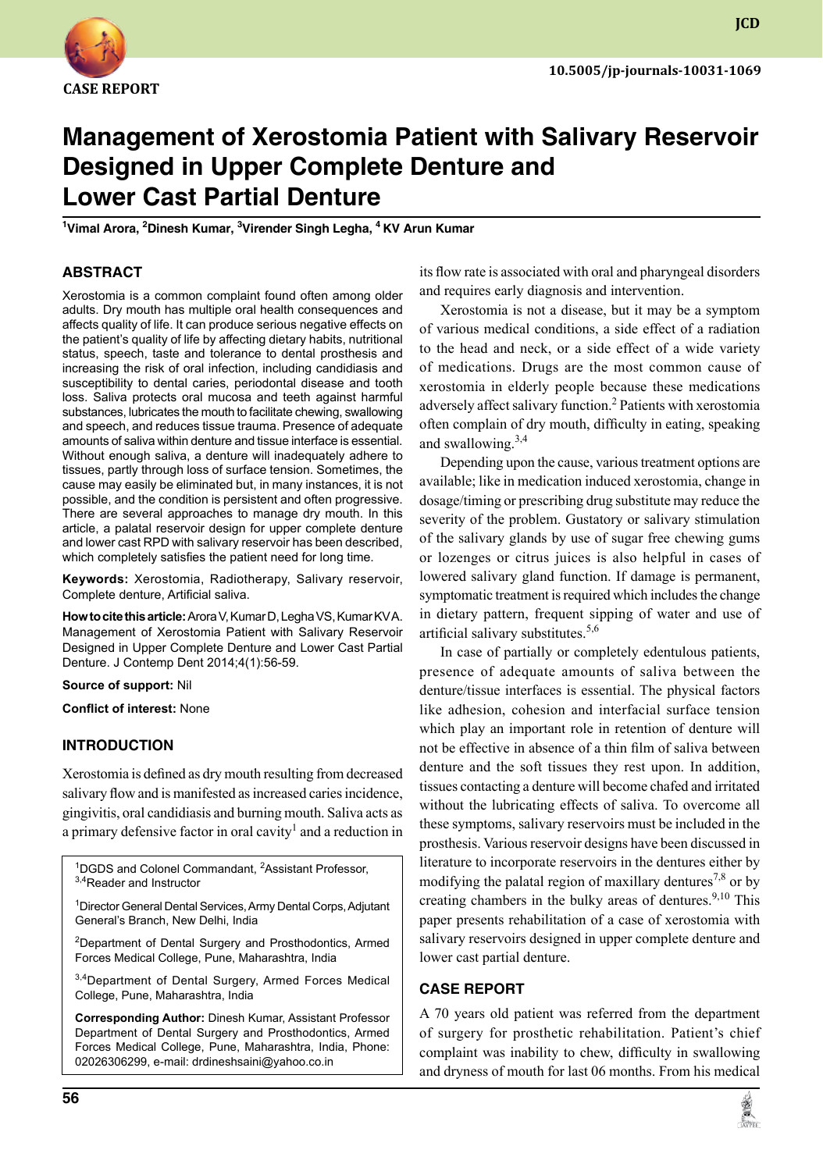

**JCD**

# **Management of Xerostomia Patient with Salivary Reservoir designed in Upper Complete Denture and Lower Cast Partial Denture**

**1 Vimal Arora, 2 Dinesh Kumar, 3 Virender Singh Legha, 4 KV Arun Kumar**

#### **ABSTRACT**

Xerostomia is a common complaint found often among older adults. Dry mouth has multiple oral health consequences and affects quality of life. It can produce serious negative effects on the patient's quality of life by affecting dietary habits, nutritional status, speech, taste and tolerance to dental prosthesis and increasing the risk of oral infection, including candidiasis and susceptibility to dental caries, periodontal disease and tooth loss. Saliva protects oral mucosa and teeth against harmful substances, lubricates the mouth to facilitate chewing, swallowing and speech, and reduces tissue trauma. Presence of adequate amounts of saliva within denture and tissue interface is essential. Without enough saliva, a denture will inadequately adhere to tissues, partly through loss of surface tension. Sometimes, the cause may easily be eliminated but, in many instances, it is not possible, and the condition is persistent and often progressive. There are several approaches to manage dry mouth. In this article, a palatal reservoir design for upper complete denture and lower cast RPD with salivary reservoir has been described, which completely satisfies the patient need for long time.

Keywords: Xerostomia, Radiotherapy, Salivary reservoir, complete denture, artificial saliva.

**How to cite this article:** Arora V, Kumar D, Legha VS, Kumar KV A. Management of Xerostomia Patient with Salivary Reservoir Designed in Upper Complete Denture and Lower Cast Partial Denture. J Contemp Dent 2014;4(1):56-59.

**Source of support:** Nil

**Conflict of interest:** None

## **Introduction**

Xerostomia is defined as dry mouth resulting from decreased salivary flow and is manifested as increased caries incidence, gingivitis, oral candidiasis and burning mouth. Saliva acts as a primary defensive factor in oral cavity<sup>1</sup> and a reduction in

<sup>1</sup>DGDS and Colonel Commandant, <sup>2</sup>Assistant Professor, 3,4Reader and Instructor

<sup>1</sup> Director General Dental Services, Army Dental Corps, Adjutant General's Branch, New Delhi, India

<sup>2</sup>Department of Dental Surgery and Prosthodontics, Armed Forces Medical College, Pune, Maharashtra, India

3,4Department of Dental Surgery, Armed Forces Medical College, Pune, Maharashtra, India

**Corresponding Author:** Dinesh Kumar, Assistant Professor Department of Dental Surgery and Prosthodontics, Armed Forces Medical College, Pune, Maharashtra, India, Phone: 02026306299, e-mail: drdineshsaini@yahoo.co.in

its flow rate is associated with oral and pharyngeal disorders and requires early diagnosis and intervention.

Xerostomia is not a disease, but it may be a symptom of various medical conditions, a side effect of a radiation to the head and neck, or a side effect of a wide variety of medications. Drugs are the most common cause of xerostomia in elderly people because these medications adversely affect salivary function.<sup>2</sup> Patients with xerostomia often complain of dry mouth, difficulty in eating, speaking and swallowing. $3,4$ 

Depending upon the cause, various treatment options are available; like in medication induced xerostomia, change in dosage/timing or prescribing drug substitute may reduce the severity of the problem. Gustatory or salivary stimulation of the salivary glands by use of sugar free chewing gums or lozenges or citrus juices is also helpful in cases of lowered salivary gland function. If damage is permanent, symptomatic treatment is required which includes the change in dietary pattern, frequent sipping of water and use of artificial salivary substitutes. $5,6$ 

In case of partially or completely edentulous patients, presence of adequate amounts of saliva between the denture/tissue interfaces is essential. The physical factors like adhesion, cohesion and interfacial surface tension which play an important role in retention of denture will not be effective in absence of a thin film of saliva between denture and the soft tissues they rest upon. In addition, tissues contacting a denture will become chafed and irritated without the lubricating effects of saliva. To overcome all these symptoms, salivary reservoirs must be included in the prosthesis. Various reservoir designs have been discussed in literature to incorporate reservoirs in the dentures either by modifying the palatal region of maxillary dentures<sup>7,8</sup> or by creating chambers in the bulky areas of dentures.<sup>9,10</sup> This paper presents rehabilitation of a case of xerostomia with salivary reservoirs designed in upper complete denture and lower cast partial denture.

#### **Case report**

A 70 years old patient was referred from the department of surgery for prosthetic rehabilitation. Patient's chief complaint was inability to chew, difficulty in swallowing and dryness of mouth for last 06 months. From his medical

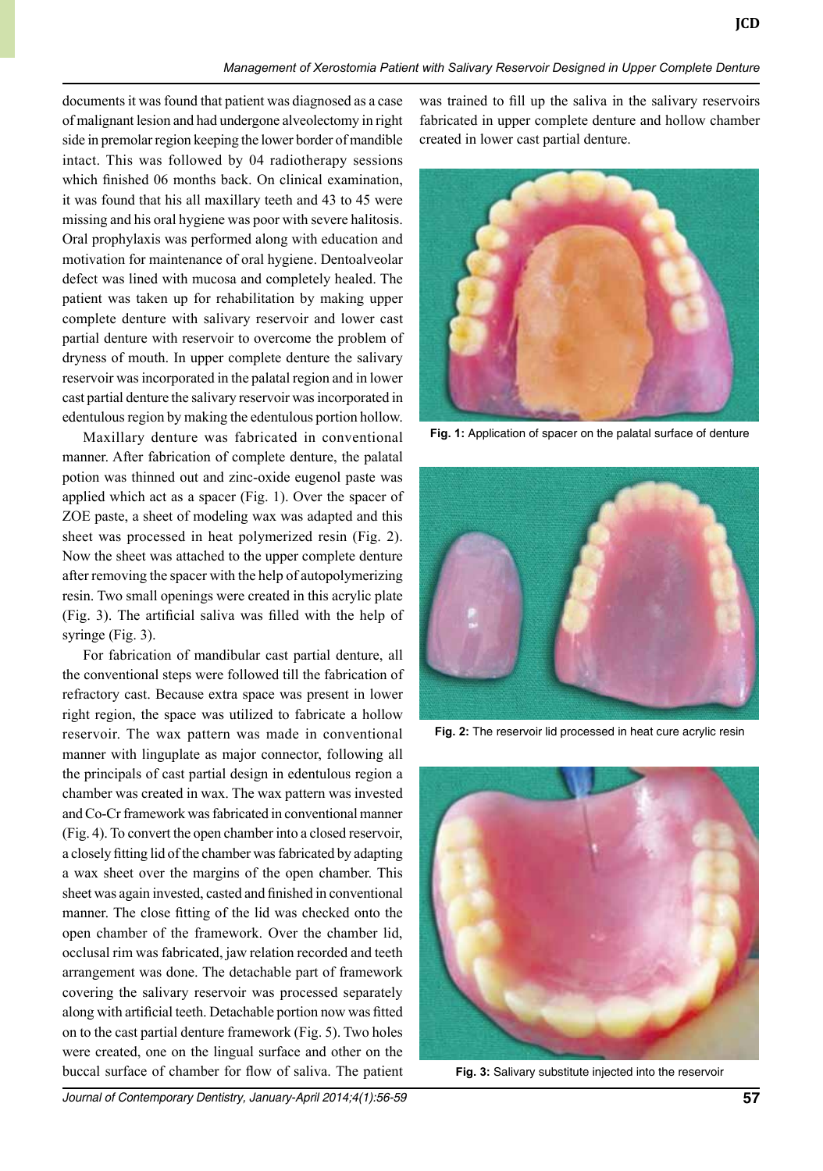**JCD**

documents it was found that patient was diagnosed as a case of malignant lesion and had undergone alveolectomy in right side in premolar region keeping the lower border of mandible intact. This was followed by 04 radiotherapy sessions which finished 06 months back. On clinical examination, it was found that his all maxillary teeth and 43 to 45 were missing and his oral hygiene was poor with severe halitosis. Oral prophylaxis was performed along with education and motivation for maintenance of oral hygiene. Dentoalveolar defect was lined with mucosa and completely healed. The patient was taken up for rehabilitation by making upper complete denture with salivary reservoir and lower cast partial denture with reservoir to overcome the problem of dryness of mouth. In upper complete denture the salivary reservoir was incorporated in the palatal region and in lower cast partial denture the salivary reservoir was incorporated in edentulous region by making the edentulous portion hollow.

Maxillary denture was fabricated in conventional manner. After fabrication of complete denture, the palatal potion was thinned out and zinc-oxide eugenol paste was applied which act as a spacer (Fig. 1). Over the spacer of ZOE paste, a sheet of modeling wax was adapted and this sheet was processed in heat polymerized resin (Fig. 2). Now the sheet was attached to the upper complete denture after removing the spacer with the help of autopolymerizing resin. Two small openings were created in this acrylic plate (Fig. 3). The artificial saliva was filled with the help of syringe (Fig. 3).

For fabrication of mandibular cast partial denture, all the conventional steps were followed till the fabrication of refractory cast. Because extra space was present in lower right region, the space was utilized to fabricate a hollow reservoir. The wax pattern was made in conventional manner with linguplate as major connector, following all the principals of cast partial design in edentulous region a chamber was created in wax. The wax pattern was invested and Co-Cr framework was fabricated in conventional manner (Fig. 4). To convert the open chamber into a closed reservoir, a closely fitting lid of the chamber was fabricated by adapting a wax sheet over the margins of the open chamber. This sheet was again invested, casted and finished in conventional manner. The close fitting of the lid was checked onto the open chamber of the framework. Over the chamber lid, occlusal rim was fabricated, jaw relation recorded and teeth arrangement was done. The detachable part of framework covering the salivary reservoir was processed separately along with artificial teeth. Detachable portion now was fitted on to the cast partial denture framework (Fig. 5). Two holes were created, one on the lingual surface and other on the buccal surface of chamber for flow of saliva. The patient was trained to fill up the saliva in the salivary reservoirs fabricated in upper complete denture and hollow chamber created in lower cast partial denture.

*Management of Xerostomia Patient with Salivary Reservoir Designed in Upper Complete Denture*



**Fig. 1:** Application of spacer on the palatal surface of denture



**Fig. 2:** The reservoir lid processed in heat cure acrylic resin



**Fig. 3:** Salivary substitute injected into the reservoir

*Journal of Contemporary Dentistry, January-April 2014;4(1):56-59* **57**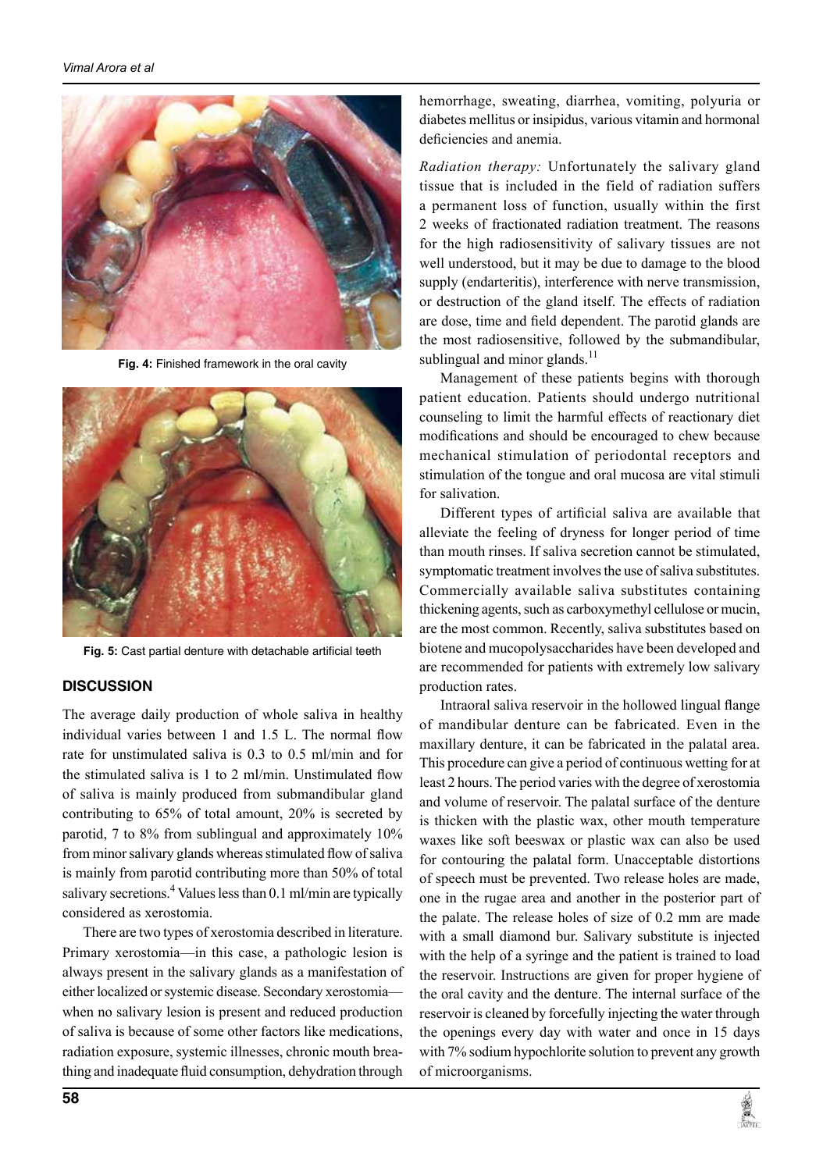

**Fig. 4:** Finished framework in the oral cavity



**Fig. 5:** Cast partial denture with detachable artificial teeth

#### **Discussion**

The average daily production of whole saliva in healthy individual varies between 1 and 1.5 L. The normal flow rate for unstimulated saliva is 0.3 to 0.5 ml/min and for the stimulated saliva is 1 to 2 ml/min. Unstimulated flow of saliva is mainly produced from submandibular gland contributing to 65% of total amount, 20% is secreted by parotid, 7 to 8% from sublingual and approximately 10% from minor salivary glands whereas stimulated flow of saliva is mainly from parotid contributing more than 50% of total salivary secretions.<sup>4</sup> Values less than 0.1 ml/min are typically considered as xerostomia.

There are two types of xerostomia described in literature. Primary xerostomia—in this case, a pathologic lesion is always present in the salivary glands as a manifestation of either localized or systemic disease. Secondary xerostomia when no salivary lesion is present and reduced production of saliva is because of some other factors like medications, radiation exposure, systemic illnesses, chronic mouth breathing and inadequate fluid consumption, dehydration through

hemorrhage, sweating, diarrhea, vomiting, polyuria or diabetes mellitus or insipidus, various vitamin and hormonal deficiencies and anemia.

*Radiation therapy:* Unfortunately the salivary gland tissue that is included in the field of radiation suffers a permanent loss of function, usually within the first 2 weeks of fractionated radiation treatment. The reasons for the high radiosensitivity of salivary tissues are not well understood, but it may be due to damage to the blood supply (endarteritis), interference with nerve transmission, or destruction of the gland itself. The effects of radiation are dose, time and field dependent. The parotid glands are the most radiosensitive, followed by the submandibular, sublingual and minor glands. $^{11}$ 

Management of these patients begins with thorough patient education. Patients should undergo nutritional counseling to limit the harmful effects of reactionary diet modifications and should be encouraged to chew because mechanical stimulation of periodontal receptors and stimulation of the tongue and oral mucosa are vital stimuli for salivation.

Different types of artificial saliva are available that alleviate the feeling of dryness for longer period of time than mouth rinses. If saliva secretion cannot be stimulated, symptomatic treatment involves the use of saliva substitutes. Commercially available saliva substitutes containing thickening agents, such as carboxymethyl cellulose or mucin, are the most common. Recently, saliva substitutes based on biotene and mucopolysaccharides have been developed and are recommended for patients with extremely low salivary production rates.

Intraoral saliva reservoir in the hollowed lingual flange of mandibular denture can be fabricated. Even in the maxillary denture, it can be fabricated in the palatal area. This procedure can give a period of continuous wetting for at least 2 hours. The period varies with the degree of xerostomia and volume of reservoir. The palatal surface of the denture is thicken with the plastic wax, other mouth temperature waxes like soft beeswax or plastic wax can also be used for contouring the palatal form. Unacceptable distortions of speech must be prevented. Two release holes are made, one in the rugae area and another in the posterior part of the palate. The release holes of size of 0.2 mm are made with a small diamond bur. Salivary substitute is injected with the help of a syringe and the patient is trained to load the reservoir. Instructions are given for proper hygiene of the oral cavity and the denture. The internal surface of the reservoir is cleaned by forcefully injecting the water through the openings every day with water and once in 15 days with 7% sodium hypochlorite solution to prevent any growth of microorganisms.